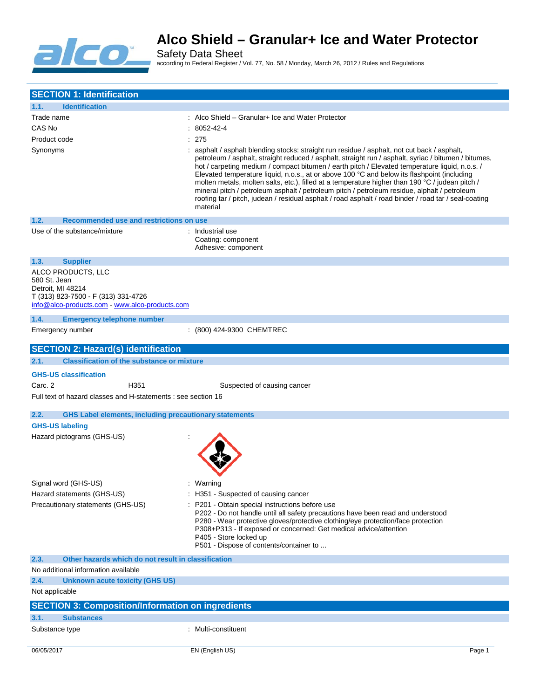

Safety Data Sheet according to Federal Register / Vol. 77, No. 58 / Monday, March 26, 2012 / Rules and Regulations

| <b>SECTION 1: Identification</b>                                                                                                                 |                                                                                                                                                                                                                                                                                                                                                                                                                                                                                                                                                                                                                               |        |
|--------------------------------------------------------------------------------------------------------------------------------------------------|-------------------------------------------------------------------------------------------------------------------------------------------------------------------------------------------------------------------------------------------------------------------------------------------------------------------------------------------------------------------------------------------------------------------------------------------------------------------------------------------------------------------------------------------------------------------------------------------------------------------------------|--------|
| <b>Identification</b><br>1.1.                                                                                                                    |                                                                                                                                                                                                                                                                                                                                                                                                                                                                                                                                                                                                                               |        |
| Trade name                                                                                                                                       | : Alco Shield – Granular+ Ice and Water Protector                                                                                                                                                                                                                                                                                                                                                                                                                                                                                                                                                                             |        |
| CAS No                                                                                                                                           | $:8052-42-4$                                                                                                                                                                                                                                                                                                                                                                                                                                                                                                                                                                                                                  |        |
| Product code                                                                                                                                     | : 275                                                                                                                                                                                                                                                                                                                                                                                                                                                                                                                                                                                                                         |        |
| Synonyms                                                                                                                                         | : asphalt / asphalt blending stocks: straight run residue / asphalt, not cut back / asphalt,                                                                                                                                                                                                                                                                                                                                                                                                                                                                                                                                  |        |
|                                                                                                                                                  | petroleum / asphalt, straight reduced / asphalt, straight run / asphalt, syriac / bitumen / bitumes,<br>hot / carpeting medium / compact bitumen / earth pitch / Elevated temperature liquid, n.o.s. /<br>Elevated temperature liquid, n.o.s., at or above 100 °C and below its flashpoint (including<br>molten metals, molten salts, etc.), filled at a temperature higher than 190 °C / judean pitch /<br>mineral pitch / petroleum asphalt / petroleum pitch / petroleum residue, alphalt / petroleum<br>roofing tar / pitch, judean / residual asphalt / road asphalt / road binder / road tar / seal-coating<br>material |        |
| 1.2.<br>Recommended use and restrictions on use                                                                                                  |                                                                                                                                                                                                                                                                                                                                                                                                                                                                                                                                                                                                                               |        |
| Use of the substance/mixture                                                                                                                     | : Industrial use<br>Coating: component<br>Adhesive: component                                                                                                                                                                                                                                                                                                                                                                                                                                                                                                                                                                 |        |
| 1.3.<br><b>Supplier</b>                                                                                                                          |                                                                                                                                                                                                                                                                                                                                                                                                                                                                                                                                                                                                                               |        |
| ALCO PRODUCTS, LLC<br>580 St. Jean<br>Detroit. MI 48214<br>T (313) 823-7500 - F (313) 331-4726<br>info@alco-products.com - www.alco-products.com |                                                                                                                                                                                                                                                                                                                                                                                                                                                                                                                                                                                                                               |        |
| 1.4.<br><b>Emergency telephone number</b>                                                                                                        |                                                                                                                                                                                                                                                                                                                                                                                                                                                                                                                                                                                                                               |        |
| Emergency number                                                                                                                                 | : (800) 424-9300 CHEMTREC                                                                                                                                                                                                                                                                                                                                                                                                                                                                                                                                                                                                     |        |
| <b>SECTION 2: Hazard(s) identification</b>                                                                                                       |                                                                                                                                                                                                                                                                                                                                                                                                                                                                                                                                                                                                                               |        |
| 2.1.<br><b>Classification of the substance or mixture</b>                                                                                        |                                                                                                                                                                                                                                                                                                                                                                                                                                                                                                                                                                                                                               |        |
| <b>GHS-US classification</b>                                                                                                                     |                                                                                                                                                                                                                                                                                                                                                                                                                                                                                                                                                                                                                               |        |
| Carc. 2<br>H <sub>351</sub>                                                                                                                      | Suspected of causing cancer                                                                                                                                                                                                                                                                                                                                                                                                                                                                                                                                                                                                   |        |
| Full text of hazard classes and H-statements : see section 16                                                                                    |                                                                                                                                                                                                                                                                                                                                                                                                                                                                                                                                                                                                                               |        |
|                                                                                                                                                  |                                                                                                                                                                                                                                                                                                                                                                                                                                                                                                                                                                                                                               |        |
| 2.2.<br><b>GHS Label elements, including precautionary statements</b>                                                                            |                                                                                                                                                                                                                                                                                                                                                                                                                                                                                                                                                                                                                               |        |
| <b>GHS-US labeling</b>                                                                                                                           |                                                                                                                                                                                                                                                                                                                                                                                                                                                                                                                                                                                                                               |        |
| Hazard pictograms (GHS-US)                                                                                                                       |                                                                                                                                                                                                                                                                                                                                                                                                                                                                                                                                                                                                                               |        |
| Signal word (GHS-US)                                                                                                                             | Warning                                                                                                                                                                                                                                                                                                                                                                                                                                                                                                                                                                                                                       |        |
| Hazard statements (GHS-US)                                                                                                                       | : H351 - Suspected of causing cancer                                                                                                                                                                                                                                                                                                                                                                                                                                                                                                                                                                                          |        |
| Precautionary statements (GHS-US)                                                                                                                | P201 - Obtain special instructions before use<br>P202 - Do not handle until all safety precautions have been read and understood<br>P280 - Wear protective gloves/protective clothing/eye protection/face protection<br>P308+P313 - If exposed or concerned: Get medical advice/attention<br>P405 - Store locked up<br>P501 - Dispose of contents/container to                                                                                                                                                                                                                                                                |        |
| 2.3.<br>Other hazards which do not result in classification                                                                                      |                                                                                                                                                                                                                                                                                                                                                                                                                                                                                                                                                                                                                               |        |
| No additional information available                                                                                                              |                                                                                                                                                                                                                                                                                                                                                                                                                                                                                                                                                                                                                               |        |
| 2.4.<br>Unknown acute toxicity (GHS US)                                                                                                          |                                                                                                                                                                                                                                                                                                                                                                                                                                                                                                                                                                                                                               |        |
| Not applicable                                                                                                                                   |                                                                                                                                                                                                                                                                                                                                                                                                                                                                                                                                                                                                                               |        |
| <b>SECTION 3: Composition/Information on ingredients</b>                                                                                         |                                                                                                                                                                                                                                                                                                                                                                                                                                                                                                                                                                                                                               |        |
| 3.1.<br><b>Substances</b>                                                                                                                        |                                                                                                                                                                                                                                                                                                                                                                                                                                                                                                                                                                                                                               |        |
| Substance type                                                                                                                                   | : Multi-constituent                                                                                                                                                                                                                                                                                                                                                                                                                                                                                                                                                                                                           |        |
| 06/05/2017                                                                                                                                       | EN (English US)                                                                                                                                                                                                                                                                                                                                                                                                                                                                                                                                                                                                               | Page 1 |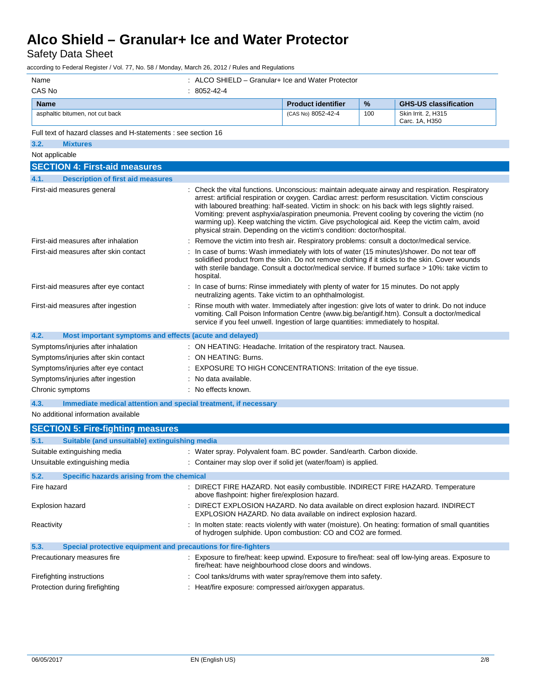Safety Data Sheet

according to Federal Register / Vol. 77, No. 58 / Monday, March 26, 2012 / Rules and Regulations

| Name                                                                    | : ALCO SHIELD - Granular+ Ice and Water Protector                                       |                                                                                     |      |                                                                                                                                                                                                                                                                                                                                                                                                                                                                                                    |
|-------------------------------------------------------------------------|-----------------------------------------------------------------------------------------|-------------------------------------------------------------------------------------|------|----------------------------------------------------------------------------------------------------------------------------------------------------------------------------------------------------------------------------------------------------------------------------------------------------------------------------------------------------------------------------------------------------------------------------------------------------------------------------------------------------|
| CAS No                                                                  | : 8052-42-4                                                                             |                                                                                     |      |                                                                                                                                                                                                                                                                                                                                                                                                                                                                                                    |
| <b>Name</b>                                                             |                                                                                         | <b>Product identifier</b>                                                           | $\%$ | <b>GHS-US classification</b>                                                                                                                                                                                                                                                                                                                                                                                                                                                                       |
| asphaltic bitumen, not cut back                                         |                                                                                         | (CAS No) 8052-42-4                                                                  | 100  | Skin Irrit. 2, H315<br>Carc. 1A, H350                                                                                                                                                                                                                                                                                                                                                                                                                                                              |
| Full text of hazard classes and H-statements : see section 16           |                                                                                         |                                                                                     |      |                                                                                                                                                                                                                                                                                                                                                                                                                                                                                                    |
| <b>Mixtures</b><br>3.2.                                                 |                                                                                         |                                                                                     |      |                                                                                                                                                                                                                                                                                                                                                                                                                                                                                                    |
| Not applicable                                                          |                                                                                         |                                                                                     |      |                                                                                                                                                                                                                                                                                                                                                                                                                                                                                                    |
| <b>SECTION 4: First-aid measures</b>                                    |                                                                                         |                                                                                     |      |                                                                                                                                                                                                                                                                                                                                                                                                                                                                                                    |
| <b>Description of first aid measures</b><br>4.1.                        |                                                                                         |                                                                                     |      |                                                                                                                                                                                                                                                                                                                                                                                                                                                                                                    |
| First-aid measures general                                              |                                                                                         | physical strain. Depending on the victim's condition: doctor/hospital.              |      | : Check the vital functions. Unconscious: maintain adequate airway and respiration. Respiratory<br>arrest: artificial respiration or oxygen. Cardiac arrest: perform resuscitation. Victim conscious<br>with laboured breathing: half-seated. Victim in shock: on his back with legs slightly raised.<br>Vomiting: prevent asphyxia/aspiration pneumonia. Prevent cooling by covering the victim (no<br>warming up). Keep watching the victim. Give psychological aid. Keep the victim calm, avoid |
| First-aid measures after inhalation                                     |                                                                                         |                                                                                     |      | Remove the victim into fresh air. Respiratory problems: consult a doctor/medical service.                                                                                                                                                                                                                                                                                                                                                                                                          |
| First-aid measures after skin contact                                   | hospital.                                                                               |                                                                                     |      | In case of burns: Wash immediately with lots of water (15 minutes)/shower. Do not tear off<br>solidified product from the skin. Do not remove clothing if it sticks to the skin. Cover wounds<br>with sterile bandage. Consult a doctor/medical service. If burned surface > 10%: take victim to                                                                                                                                                                                                   |
| First-aid measures after eye contact                                    | : In case of burns: Rinse immediately with plenty of water for 15 minutes. Do not apply | neutralizing agents. Take victim to an ophthalmologist.                             |      |                                                                                                                                                                                                                                                                                                                                                                                                                                                                                                    |
| First-aid measures after ingestion                                      |                                                                                         | service if you feel unwell. Ingestion of large quantities: immediately to hospital. |      | Rinse mouth with water. Immediately after ingestion: give lots of water to drink. Do not induce<br>vomiting. Call Poison Information Centre (www.big.be/antigif.htm). Consult a doctor/medical                                                                                                                                                                                                                                                                                                     |
| 4.2.<br>Most important symptoms and effects (acute and delayed)         |                                                                                         |                                                                                     |      |                                                                                                                                                                                                                                                                                                                                                                                                                                                                                                    |
| Symptoms/injuries after inhalation                                      | : ON HEATING: Headache. Irritation of the respiratory tract. Nausea.                    |                                                                                     |      |                                                                                                                                                                                                                                                                                                                                                                                                                                                                                                    |
| Symptoms/injuries after skin contact                                    | : ON HEATING: Burns.                                                                    |                                                                                     |      |                                                                                                                                                                                                                                                                                                                                                                                                                                                                                                    |
| Symptoms/injuries after eye contact                                     | : EXPOSURE TO HIGH CONCENTRATIONS: Irritation of the eye tissue.                        |                                                                                     |      |                                                                                                                                                                                                                                                                                                                                                                                                                                                                                                    |
| Symptoms/injuries after ingestion                                       | : No data available.                                                                    |                                                                                     |      |                                                                                                                                                                                                                                                                                                                                                                                                                                                                                                    |
| Chronic symptoms                                                        | : No effects known.                                                                     |                                                                                     |      |                                                                                                                                                                                                                                                                                                                                                                                                                                                                                                    |
| Immediate medical attention and special treatment, if necessary<br>4.3. |                                                                                         |                                                                                     |      |                                                                                                                                                                                                                                                                                                                                                                                                                                                                                                    |
| No additional information available                                     |                                                                                         |                                                                                     |      |                                                                                                                                                                                                                                                                                                                                                                                                                                                                                                    |
| <b>SECTION 5: Fire-fighting measures</b>                                |                                                                                         |                                                                                     |      |                                                                                                                                                                                                                                                                                                                                                                                                                                                                                                    |
| Suitable (and unsuitable) extinguishing media<br>5.1.                   |                                                                                         |                                                                                     |      |                                                                                                                                                                                                                                                                                                                                                                                                                                                                                                    |
| Suitable extinguishing media                                            | : Water spray. Polyvalent foam. BC powder. Sand/earth. Carbon dioxide.                  |                                                                                     |      |                                                                                                                                                                                                                                                                                                                                                                                                                                                                                                    |
| Unsuitable extinguishing media                                          | : Container may slop over if solid jet (water/foam) is applied.                         |                                                                                     |      |                                                                                                                                                                                                                                                                                                                                                                                                                                                                                                    |
| 5.2.<br>Specific hazards arising from the chemical                      |                                                                                         |                                                                                     |      |                                                                                                                                                                                                                                                                                                                                                                                                                                                                                                    |
| Fire hazard                                                             | above flashpoint: higher fire/explosion hazard.                                         |                                                                                     |      | : DIRECT FIRE HAZARD. Not easily combustible. INDIRECT FIRE HAZARD. Temperature                                                                                                                                                                                                                                                                                                                                                                                                                    |
| Explosion hazard                                                        |                                                                                         | EXPLOSION HAZARD. No data available on indirect explosion hazard.                   |      | : DIRECT EXPLOSION HAZARD. No data available on direct explosion hazard. INDIRECT                                                                                                                                                                                                                                                                                                                                                                                                                  |
| Reactivity                                                              |                                                                                         | of hydrogen sulphide. Upon combustion: CO and CO2 are formed.                       |      | : In molten state: reacts violently with water (moisture). On heating: formation of small quantities                                                                                                                                                                                                                                                                                                                                                                                               |
| Special protective equipment and precautions for fire-fighters<br>5.3.  |                                                                                         |                                                                                     |      |                                                                                                                                                                                                                                                                                                                                                                                                                                                                                                    |
| Precautionary measures fire                                             |                                                                                         | fire/heat: have neighbourhood close doors and windows.                              |      | : Exposure to fire/heat: keep upwind. Exposure to fire/heat: seal off low-lying areas. Exposure to                                                                                                                                                                                                                                                                                                                                                                                                 |
| Firefighting instructions                                               | : Cool tanks/drums with water spray/remove them into safety.                            |                                                                                     |      |                                                                                                                                                                                                                                                                                                                                                                                                                                                                                                    |
| Protection during firefighting                                          | : Heat/fire exposure: compressed air/oxygen apparatus.                                  |                                                                                     |      |                                                                                                                                                                                                                                                                                                                                                                                                                                                                                                    |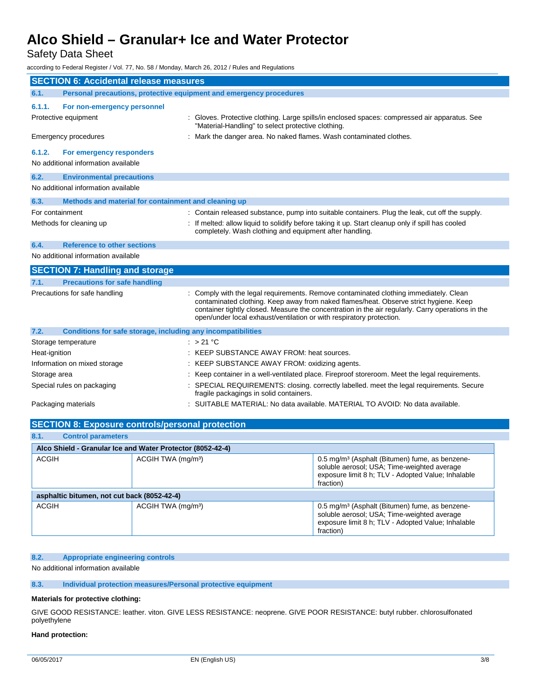# Safety Data Sheet

according to Federal Register / Vol. 77, No. 58 / Monday, March 26, 2012 / Rules and Regulations

| <b>SECTION 6: Accidental release measures</b>                               |                                                                                                                                                                                                                                                                                                                                                           |  |  |
|-----------------------------------------------------------------------------|-----------------------------------------------------------------------------------------------------------------------------------------------------------------------------------------------------------------------------------------------------------------------------------------------------------------------------------------------------------|--|--|
| 6.1.<br>Personal precautions, protective equipment and emergency procedures |                                                                                                                                                                                                                                                                                                                                                           |  |  |
| 6.1.1.<br>For non-emergency personnel                                       |                                                                                                                                                                                                                                                                                                                                                           |  |  |
| Protective equipment                                                        | Gloves. Protective clothing. Large spills/in enclosed spaces: compressed air apparatus. See<br>"Material-Handling" to select protective clothing.                                                                                                                                                                                                         |  |  |
| <b>Emergency procedures</b>                                                 | Mark the danger area. No naked flames. Wash contaminated clothes.                                                                                                                                                                                                                                                                                         |  |  |
| 6.1.2.<br>For emergency responders<br>No additional information available   |                                                                                                                                                                                                                                                                                                                                                           |  |  |
| 6.2.<br><b>Environmental precautions</b>                                    |                                                                                                                                                                                                                                                                                                                                                           |  |  |
| No additional information available                                         |                                                                                                                                                                                                                                                                                                                                                           |  |  |
| Methods and material for containment and cleaning up<br>6.3.                |                                                                                                                                                                                                                                                                                                                                                           |  |  |
| For containment                                                             | : Contain released substance, pump into suitable containers. Plug the leak, cut off the supply.                                                                                                                                                                                                                                                           |  |  |
| Methods for cleaning up                                                     | If melted: allow liquid to solidify before taking it up. Start cleanup only if spill has cooled<br>completely. Wash clothing and equipment after handling.                                                                                                                                                                                                |  |  |
| <b>Reference to other sections</b><br>6.4.                                  |                                                                                                                                                                                                                                                                                                                                                           |  |  |
| No additional information available                                         |                                                                                                                                                                                                                                                                                                                                                           |  |  |
| <b>SECTION 7: Handling and storage</b>                                      |                                                                                                                                                                                                                                                                                                                                                           |  |  |
| <b>Precautions for safe handling</b><br>7.1.                                |                                                                                                                                                                                                                                                                                                                                                           |  |  |
| Precautions for safe handling                                               | Comply with the legal requirements. Remove contaminated clothing immediately. Clean<br>contaminated clothing. Keep away from naked flames/heat. Observe strict hygiene. Keep<br>container tightly closed. Measure the concentration in the air regularly. Carry operations in the<br>open/under local exhaust/ventilation or with respiratory protection. |  |  |
| 7.2.<br>Conditions for safe storage, including any incompatibilities        |                                                                                                                                                                                                                                                                                                                                                           |  |  |
| Storage temperature                                                         | : $>21^{\circ}$ C                                                                                                                                                                                                                                                                                                                                         |  |  |
| Heat-ignition                                                               | KEEP SUBSTANCE AWAY FROM: heat sources.                                                                                                                                                                                                                                                                                                                   |  |  |
| Information on mixed storage                                                | KEEP SUBSTANCE AWAY FROM: oxidizing agents.                                                                                                                                                                                                                                                                                                               |  |  |
| Storage area                                                                | Keep container in a well-ventilated place. Fireproof storeroom. Meet the legal requirements.                                                                                                                                                                                                                                                              |  |  |
| Special rules on packaging                                                  | SPECIAL REQUIREMENTS: closing. correctly labelled. meet the legal requirements. Secure<br>fragile packagings in solid containers.                                                                                                                                                                                                                         |  |  |
| Packaging materials                                                         | : SUITABLE MATERIAL: No data available. MATERIAL TO AVOID: No data available.                                                                                                                                                                                                                                                                             |  |  |
| <b>SECTION 8: Exposure controls/personal protection</b>                     |                                                                                                                                                                                                                                                                                                                                                           |  |  |

# **8.1. Control parameters**

| $\mathbf{v}$ . I.<br><b>PUTTLE DESCRIPTION</b>             |                                |                                                                                                                                                                              |  |  |  |
|------------------------------------------------------------|--------------------------------|------------------------------------------------------------------------------------------------------------------------------------------------------------------------------|--|--|--|
| Alco Shield - Granular Ice and Water Protector (8052-42-4) |                                |                                                                                                                                                                              |  |  |  |
| <b>ACGIH</b>                                               | ACGIH TWA (mg/m <sup>3</sup> ) | 0.5 mg/m <sup>3</sup> (Asphalt (Bitumen) fume, as benzene-<br>soluble aerosol; USA; Time-weighted average<br>exposure limit 8 h; TLV - Adopted Value; Inhalable<br>fraction) |  |  |  |
| asphaltic bitumen, not cut back (8052-42-4)                |                                |                                                                                                                                                                              |  |  |  |
| <b>ACGIH</b>                                               | ACGIH TWA (mg/m <sup>3</sup> ) | 0.5 mg/m <sup>3</sup> (Asphalt (Bitumen) fume, as benzene-<br>soluble aerosol; USA; Time-weighted average<br>exposure limit 8 h; TLV - Adopted Value; Inhalable<br>fraction) |  |  |  |

### **8.2. Appropriate engineering controls**

No additional information available

### **8.3. Individual protection measures/Personal protective equipment**

### **Materials for protective clothing:**

GIVE GOOD RESISTANCE: leather. viton. GIVE LESS RESISTANCE: neoprene. GIVE POOR RESISTANCE: butyl rubber. chlorosulfonated polyethylene

### **Hand protection:**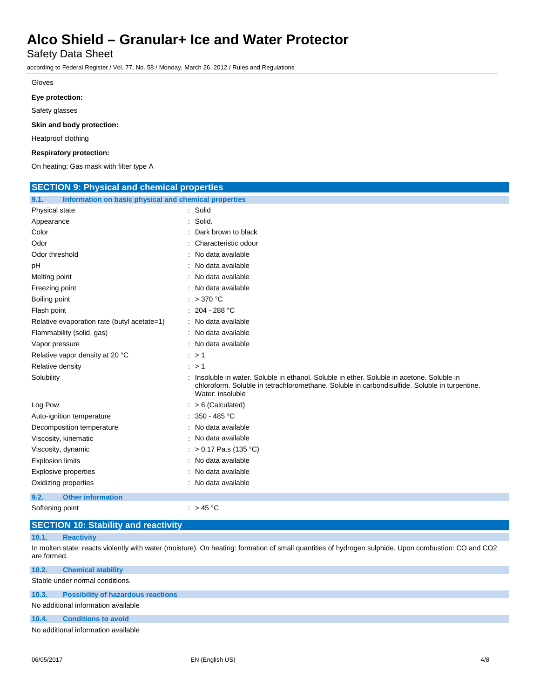Safety Data Sheet

according to Federal Register / Vol. 77, No. 58 / Monday, March 26, 2012 / Rules and Regulations

### Gloves

#### **Eye protection:**

Safety glasses

**Skin and body protection:**

Heatproof clothing

#### **Respiratory protection:**

On heating: Gas mask with filter type A

| <b>SECTION 9: Physical and chemical properties</b>            |                                                                                                                                                                                                                 |  |  |
|---------------------------------------------------------------|-----------------------------------------------------------------------------------------------------------------------------------------------------------------------------------------------------------------|--|--|
| Information on basic physical and chemical properties<br>9.1. |                                                                                                                                                                                                                 |  |  |
| Physical state                                                | : Solid                                                                                                                                                                                                         |  |  |
| Appearance                                                    | : Solid.                                                                                                                                                                                                        |  |  |
| Color                                                         | : Dark brown to black                                                                                                                                                                                           |  |  |
| Odor                                                          | : Characteristic odour                                                                                                                                                                                          |  |  |
| Odor threshold                                                | : No data available                                                                                                                                                                                             |  |  |
| рH                                                            | : No data available                                                                                                                                                                                             |  |  |
| Melting point                                                 | : No data available                                                                                                                                                                                             |  |  |
| Freezing point                                                | : No data available                                                                                                                                                                                             |  |  |
| Boiling point                                                 | $: >370$ °C                                                                                                                                                                                                     |  |  |
| Flash point                                                   | $: 204 - 288 °C$                                                                                                                                                                                                |  |  |
| Relative evaporation rate (butyl acetate=1)                   | : No data available                                                                                                                                                                                             |  |  |
| Flammability (solid, gas)                                     | : No data available                                                                                                                                                                                             |  |  |
| Vapor pressure                                                | : No data available                                                                                                                                                                                             |  |  |
| Relative vapor density at 20 °C                               | $\therefore$ > 1                                                                                                                                                                                                |  |  |
| Relative density                                              | $\therefore$ > 1                                                                                                                                                                                                |  |  |
| Solubility                                                    | : Insoluble in water. Soluble in ethanol. Soluble in ether. Soluble in acetone. Soluble in<br>chloroform. Soluble in tetrachloromethane. Soluble in carbondisulfide. Soluble in turpentine.<br>Water: insoluble |  |  |
| Log Pow                                                       | $: > 6$ (Calculated)                                                                                                                                                                                            |  |  |
| Auto-ignition temperature                                     | : $350 - 485$ °C                                                                                                                                                                                                |  |  |
| Decomposition temperature                                     | : No data available                                                                                                                                                                                             |  |  |
| Viscosity, kinematic                                          | : No data available                                                                                                                                                                                             |  |  |
| Viscosity, dynamic                                            | : > 0.17 Pa.s (135 °C)                                                                                                                                                                                          |  |  |
| <b>Explosion limits</b>                                       | : No data available                                                                                                                                                                                             |  |  |
| <b>Explosive properties</b>                                   | : No data available                                                                                                                                                                                             |  |  |
| Oxidizing properties                                          | : No data available                                                                                                                                                                                             |  |  |
| 9.2.<br><b>Other information</b>                              |                                                                                                                                                                                                                 |  |  |
| Softening point                                               | : $>45^{\circ}$ C                                                                                                                                                                                               |  |  |

# **SECTION 10: Stability and reactivity**

#### **10.1. Reactivity**

In molten state: reacts violently with water (moisture). On heating: formation of small quantities of hydrogen sulphide. Upon combustion: CO and CO2 are formed.

### **10.2. Chemical stability**

Stable under normal conditions.

### **10.3. Possibility of hazardous reactions**

No additional information available

### **10.4. Conditions to avoid**

No additional information available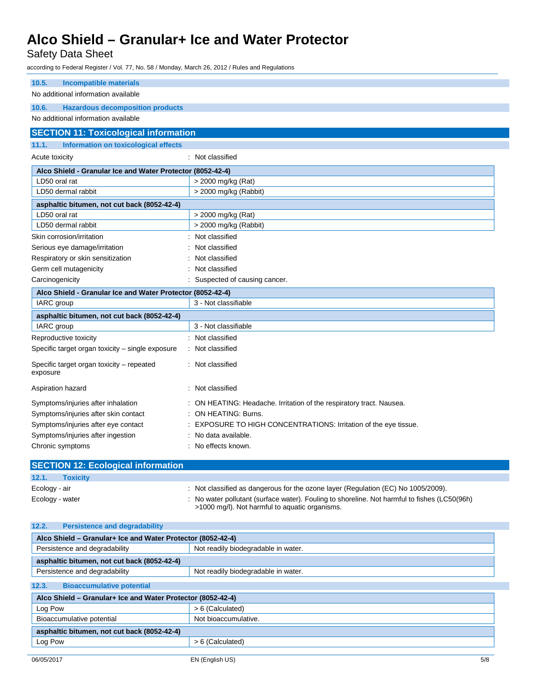# Safety Data Sheet

according to Federal Register / Vol. 77, No. 58 / Monday, March 26, 2012 / Rules and Regulations

| 10.5.<br><b>Incompatible materials</b>                     |                                                                                   |  |  |  |
|------------------------------------------------------------|-----------------------------------------------------------------------------------|--|--|--|
| No additional information available                        |                                                                                   |  |  |  |
| 10.6.<br><b>Hazardous decomposition products</b>           |                                                                                   |  |  |  |
| No additional information available                        |                                                                                   |  |  |  |
| <b>SECTION 11: Toxicological information</b>               |                                                                                   |  |  |  |
| <b>Information on toxicological effects</b><br>11.1.       |                                                                                   |  |  |  |
| Acute toxicity                                             | : Not classified                                                                  |  |  |  |
|                                                            |                                                                                   |  |  |  |
| Alco Shield - Granular Ice and Water Protector (8052-42-4) |                                                                                   |  |  |  |
| LD50 oral rat                                              | > 2000 mg/kg (Rat)                                                                |  |  |  |
| LD50 dermal rabbit                                         | > 2000 mg/kg (Rabbit)                                                             |  |  |  |
| asphaltic bitumen, not cut back (8052-42-4)                |                                                                                   |  |  |  |
| LD50 oral rat                                              | > 2000 mg/kg (Rat)                                                                |  |  |  |
| LD50 dermal rabbit                                         | $>$ 2000 mg/kg (Rabbit)                                                           |  |  |  |
| Skin corrosion/irritation                                  | Not classified                                                                    |  |  |  |
| Serious eye damage/irritation                              | Not classified                                                                    |  |  |  |
| Respiratory or skin sensitization                          | Not classified                                                                    |  |  |  |
| Germ cell mutagenicity                                     | Not classified                                                                    |  |  |  |
| Carcinogenicity                                            | : Suspected of causing cancer.                                                    |  |  |  |
| Alco Shield - Granular Ice and Water Protector (8052-42-4) |                                                                                   |  |  |  |
| IARC group                                                 | 3 - Not classifiable                                                              |  |  |  |
| asphaltic bitumen, not cut back (8052-42-4)                |                                                                                   |  |  |  |
| IARC group                                                 | 3 - Not classifiable                                                              |  |  |  |
| Reproductive toxicity                                      | : Not classified                                                                  |  |  |  |
| Specific target organ toxicity - single exposure           | : Not classified                                                                  |  |  |  |
| Specific target organ toxicity - repeated                  | : Not classified                                                                  |  |  |  |
| exposure                                                   |                                                                                   |  |  |  |
| Aspiration hazard                                          | : Not classified                                                                  |  |  |  |
| Symptoms/injuries after inhalation                         | ON HEATING: Headache. Irritation of the respiratory tract. Nausea.                |  |  |  |
| Symptoms/injuries after skin contact                       | : ON HEATING: Burns.                                                              |  |  |  |
| Symptoms/injuries after eye contact                        | : EXPOSURE TO HIGH CONCENTRATIONS: Irritation of the eye tissue.                  |  |  |  |
| Symptoms/injuries after ingestion                          | : No data available.                                                              |  |  |  |
| Chronic symptoms                                           | : No effects known.                                                               |  |  |  |
|                                                            |                                                                                   |  |  |  |
| <b>SECTION 12: Ecological information</b>                  |                                                                                   |  |  |  |
| 12.1.<br><b>Toxicity</b>                                   |                                                                                   |  |  |  |
| Ecology - air                                              | : Not classified as dangerous for the ozone layer (Regulation (EC) No 1005/2009). |  |  |  |

Ecology - water : No water pollutant (surface water). Fouling to shoreline. Not harmful to fishes (LC50(96h) >1000 mg/l). Not harmful to aquatic organisms.

**12.2. Persistence and degradability**

| Alco Shield - Granular+ Ice and Water Protector (8052-42-4) |                                     |  |
|-------------------------------------------------------------|-------------------------------------|--|
| Persistence and degradability                               | Not readily biodegradable in water. |  |
| asphaltic bitumen, not cut back (8052-42-4)                 |                                     |  |
| Persistence and degradability                               | Not readily biodegradable in water. |  |
| 12.3.<br><b>Bioaccumulative potential</b>                   |                                     |  |
| Alco Shield - Granular+ Ice and Water Protector (8052-42-4) |                                     |  |
| Log Pow                                                     | > 6 (Calculated)                    |  |
| Bioaccumulative potential                                   | Not bioaccumulative.                |  |
| asphaltic bitumen, not cut back (8052-42-4)                 |                                     |  |
| Log Pow                                                     | > 6 (Calculated)                    |  |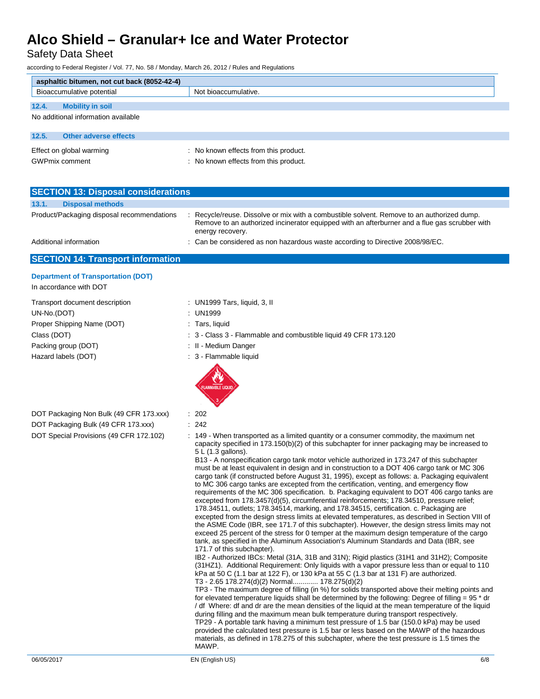Safety Data Sheet

according to Federal Register / Vol. 77, No. 58 / Monday, March 26, 2012 / Rules and Regulations

|                                  | asphaltic bitumen, not cut back (8052-42-4) |                                       |  |  |
|----------------------------------|---------------------------------------------|---------------------------------------|--|--|
| Bioaccumulative potential        |                                             | Not bioaccumulative.                  |  |  |
| 12.4.<br><b>Mobility in soil</b> |                                             |                                       |  |  |
|                                  | No additional information available         |                                       |  |  |
|                                  |                                             |                                       |  |  |
| 12.5.                            | <b>Other adverse effects</b>                |                                       |  |  |
| Effect on global warming         |                                             | : No known effects from this product. |  |  |
| <b>GWPmix comment</b>            |                                             | : No known effects from this product. |  |  |

| <b>SECTION 13: Disposal considerations</b> |                                            |  |                                                                                                                                                                                                               |
|--------------------------------------------|--------------------------------------------|--|---------------------------------------------------------------------------------------------------------------------------------------------------------------------------------------------------------------|
| 13.1.                                      | <b>Disposal methods</b>                    |  |                                                                                                                                                                                                               |
|                                            | Product/Packaging disposal recommendations |  | Recycle/reuse. Dissolve or mix with a combustible solvent. Remove to an authorized dump.<br>Remove to an authorized incinerator equipped with an afterburner and a flue gas scrubber with<br>energy recovery. |
|                                            | Additional information                     |  | : Can be considered as non hazardous waste according to Directive 2008/98/EC.                                                                                                                                 |

## **SECTION 14: Transport information**

### **Department of Transportation (DOT)** In accordance with DOT

Transport document description : UN1999 Tars, liquid, 3, II UN-No.(DOT) : UN1999 Proper Shipping Name (DOT) : Tars, liquid Packing group (DOT) **in the case of the COV**  $\cdot$  II - Medium Danger Hazard labels (DOT)  $\qquad \qquad$  : 3 - Flammable liquid

- 
- 
- 
- Class (DOT) : 3 Class 3 Flammable and combustible liquid 49 CFR 173.120
	-
	-



- DOT Packaging Bulk (49 CFR 173.xxx) : 242
- 
- 
- DOT Special Provisions (49 CFR 172.102) : 149 When transported as a limited quantity or a consumer commodity, the maximum net capacity specified in 173.150(b)(2) of this subchapter for inner packaging may be increased to 5 L (1.3 gallons).

B13 - A nonspecification cargo tank motor vehicle authorized in 173.247 of this subchapter must be at least equivalent in design and in construction to a DOT 406 cargo tank or MC 306 cargo tank (if constructed before August 31, 1995), except as follows: a. Packaging equivalent to MC 306 cargo tanks are excepted from the certification, venting, and emergency flow requirements of the MC 306 specification. b. Packaging equivalent to DOT 406 cargo tanks are excepted from 178.3457(d)(5), circumferential reinforcements; 178.34510, pressure relief; 178.34511, outlets; 178.34514, marking, and 178.34515, certification. c. Packaging are excepted from the design stress limits at elevated temperatures, as described in Section VIII of the ASME Code (IBR, see 171.7 of this subchapter). However, the design stress limits may not exceed 25 percent of the stress for 0 temper at the maximum design temperature of the cargo tank, as specified in the Aluminum Association's Aluminum Standards and Data (IBR, see 171.7 of this subchapter).

IB2 - Authorized IBCs: Metal (31A, 31B and 31N); Rigid plastics (31H1 and 31H2); Composite (31HZ1). Additional Requirement: Only liquids with a vapor pressure less than or equal to 110 kPa at 50 C (1.1 bar at 122 F), or 130 kPa at 55 C (1.3 bar at 131 F) are authorized. T3 - 2.65 178.274(d)(2) Normal............. 178.275(d)(2)

TP3 - The maximum degree of filling (in %) for solids transported above their melting points and for elevated temperature liquids shall be determined by the following: Degree of filling = 95 \* dr / df Where: df and dr are the mean densities of the liquid at the mean temperature of the liquid during filling and the maximum mean bulk temperature during transport respectively. TP29 - A portable tank having a minimum test pressure of 1.5 bar (150.0 kPa) may be used provided the calculated test pressure is 1.5 bar or less based on the MAWP of the hazardous materials, as defined in 178.275 of this subchapter, where the test pressure is 1.5 times the MAWP.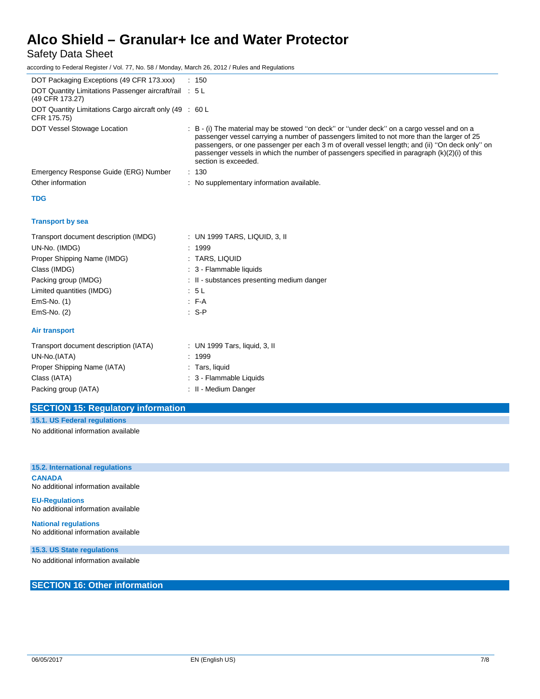Safety Data Sheet

according to Federal Register / Vol. 77, No. 58 / Monday, March 26, 2012 / Rules and Regulations

| DOT Packaging Exceptions (49 CFR 173.xxx)                                 | : 150                                                                                                                                                                                                                                                                                                                                                                                                             |
|---------------------------------------------------------------------------|-------------------------------------------------------------------------------------------------------------------------------------------------------------------------------------------------------------------------------------------------------------------------------------------------------------------------------------------------------------------------------------------------------------------|
| DOT Quantity Limitations Passenger aircraft/rail : 5 L<br>(49 CFR 173.27) |                                                                                                                                                                                                                                                                                                                                                                                                                   |
| DOT Quantity Limitations Cargo aircraft only (49 : 60 L<br>CFR 175.75)    |                                                                                                                                                                                                                                                                                                                                                                                                                   |
| DOT Vessel Stowage Location                                               | : B - (i) The material may be stowed "on deck" or "under deck" on a cargo vessel and on a<br>passenger vessel carrying a number of passengers limited to not more than the larger of 25<br>passengers, or one passenger per each 3 m of overall vessel length; and (ii) "On deck only" on<br>passenger vessels in which the number of passengers specified in paragraph (k)(2)(i) of this<br>section is exceeded. |
| Emergency Response Guide (ERG) Number                                     | : 130                                                                                                                                                                                                                                                                                                                                                                                                             |
| Other information                                                         | : No supplementary information available.                                                                                                                                                                                                                                                                                                                                                                         |
| <b>TDG</b>                                                                |                                                                                                                                                                                                                                                                                                                                                                                                                   |
| <b>Transport by sea</b>                                                   |                                                                                                                                                                                                                                                                                                                                                                                                                   |
| Transport document description (IMDG)                                     | : UN 1999 TARS, LIQUID, 3, II                                                                                                                                                                                                                                                                                                                                                                                     |
| UN-No. (IMDG)                                                             | : 1999                                                                                                                                                                                                                                                                                                                                                                                                            |
| Proper Shipping Name (IMDG)                                               | : TARS, LIQUID                                                                                                                                                                                                                                                                                                                                                                                                    |
| Class (IMDG)                                                              | : 3 - Flammable liquids                                                                                                                                                                                                                                                                                                                                                                                           |
| Packing group (IMDG)                                                      | : II - substances presenting medium danger                                                                                                                                                                                                                                                                                                                                                                        |
| Limited quantities (IMDG)                                                 | : 5L                                                                                                                                                                                                                                                                                                                                                                                                              |
| EmS-No. (1)                                                               | $F-A$                                                                                                                                                                                                                                                                                                                                                                                                             |
| EmS-No. (2)                                                               | $: S - P$                                                                                                                                                                                                                                                                                                                                                                                                         |
| <b>Air transport</b>                                                      |                                                                                                                                                                                                                                                                                                                                                                                                                   |
| Transport document description (IATA)                                     | : UN 1999 Tars, liquid, 3, II                                                                                                                                                                                                                                                                                                                                                                                     |
| UN-No.(IATA)                                                              | : 1999                                                                                                                                                                                                                                                                                                                                                                                                            |
| Proper Shipping Name (IATA)                                               | : Tars, liquid                                                                                                                                                                                                                                                                                                                                                                                                    |
| Class (IATA)                                                              | : 3 - Flammable Liquids                                                                                                                                                                                                                                                                                                                                                                                           |
| Packing group (IATA)                                                      | : II - Medium Danger                                                                                                                                                                                                                                                                                                                                                                                              |
|                                                                           |                                                                                                                                                                                                                                                                                                                                                                                                                   |

# **SECTION 15: Regulatory information**

**15.1. US Federal regulations**

No additional information available

**15.2. International regulations CANADA** No additional information available

**EU-Regulations** No additional information available

**National regulations** No additional information available

**15.3. US State regulations**

No additional information available

**SECTION 16: Other information**